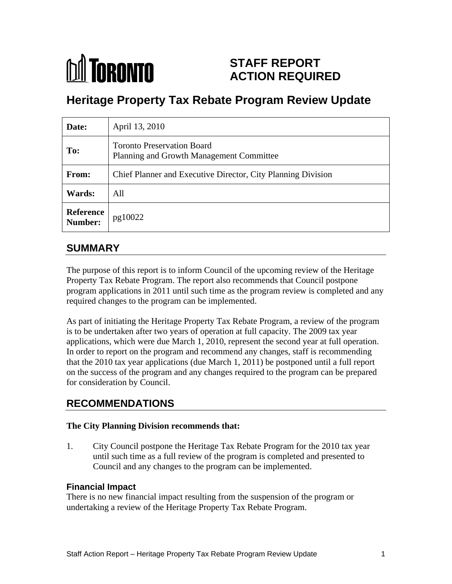# **M** TORONTO

# **STAFF REPORT ACTION REQUIRED**

# **Heritage Property Tax Rebate Program Review Update**

| Date:                                      | April 13, 2010                                                                |
|--------------------------------------------|-------------------------------------------------------------------------------|
| To:                                        | <b>Toronto Preservation Board</b><br>Planning and Growth Management Committee |
| From:                                      | Chief Planner and Executive Director, City Planning Division                  |
| <b>Wards:</b>                              | All                                                                           |
| <b>Reference</b><br><b>Number:</b> pg10022 |                                                                               |

## **SUMMARY**

The purpose of this report is to inform Council of the upcoming review of the Heritage Property Tax Rebate Program. The report also recommends that Council postpone program applications in 2011 until such time as the program review is completed and any required changes to the program can be implemented.

As part of initiating the Heritage Property Tax Rebate Program, a review of the program is to be undertaken after two years of operation at full capacity. The 2009 tax year applications, which were due March 1, 2010, represent the second year at full operation. In order to report on the program and recommend any changes, staff is recommending that the 2010 tax year applications (due March 1, 2011) be postponed until a full report on the success of the program and any changes required to the program can be prepared for consideration by Council.

## **RECOMMENDATIONS**

#### **The City Planning Division recommends that:**

1. City Council postpone the Heritage Tax Rebate Program for the 2010 tax year until such time as a full review of the program is completed and presented to Council and any changes to the program can be implemented.

#### **Financial Impact**

There is no new financial impact resulting from the suspension of the program or undertaking a review of the Heritage Property Tax Rebate Program.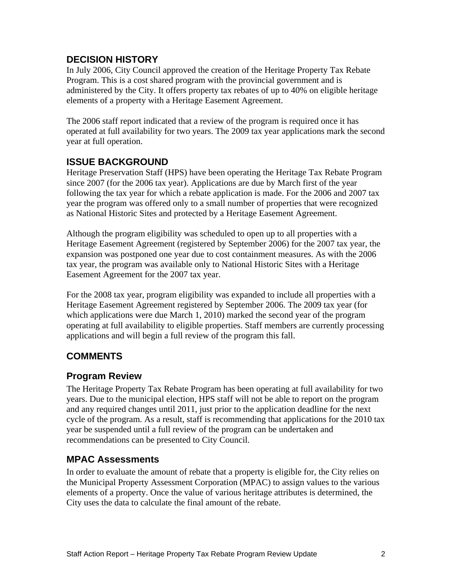#### **DECISION HISTORY**

In July 2006, City Council approved the creation of the Heritage Property Tax Rebate Program. This is a cost shared program with the provincial government and is administered by the City. It offers property tax rebates of up to 40% on eligible heritage elements of a property with a Heritage Easement Agreement.

The 2006 staff report indicated that a review of the program is required once it has operated at full availability for two years. The 2009 tax year applications mark the second year at full operation.

#### **ISSUE BACKGROUND**

Heritage Preservation Staff (HPS) have been operating the Heritage Tax Rebate Program since 2007 (for the 2006 tax year). Applications are due by March first of the year following the tax year for which a rebate application is made. For the 2006 and 2007 tax year the program was offered only to a small number of properties that were recognized as National Historic Sites and protected by a Heritage Easement Agreement. Although the program eligibility was scheduled to open up to all properties with a

Heritage Easement Agreement (registered by September 2006) for the 2007 tax year, the expansion was postponed one year due to cost containment measures. As with the 2006 tax year, the program was available only to National Historic Sites with a Heritage Easement Agreement for the 2007 tax year.

For the 2008 tax year, program eligibility was expanded to include all properties with a Heritage Easement Agreement registered by September 2006. The 2009 tax year (for which applications were due March 1, 2010) marked the second year of the program operating at full availability to eligible properties. Staff members are currently processing applications and will begin a full review of the program this fall.

### **COMMENTS**

#### **Program Review**

The Heritage Property Tax Rebate Program has been operating at full availability for two years. Due to the municipal election, HPS staff will not be able to report on the program and any required changes until 2011, just prior to the application deadline for the next cycle of the program. As a result, staff is recommending that applications for the 2010 tax year be suspended until a full review of the program can be undertaken and recommendations can be presented to City Council.

#### **MPAC Assessments**

In order to evaluate the amount of rebate that a property is eligible for, the City relies on the Municipal Property Assessment Corporation (MPAC) to assign values to the various elements of a property. Once the value of various heritage attributes is determined, the City uses the data to calculate the final amount of the rebate.